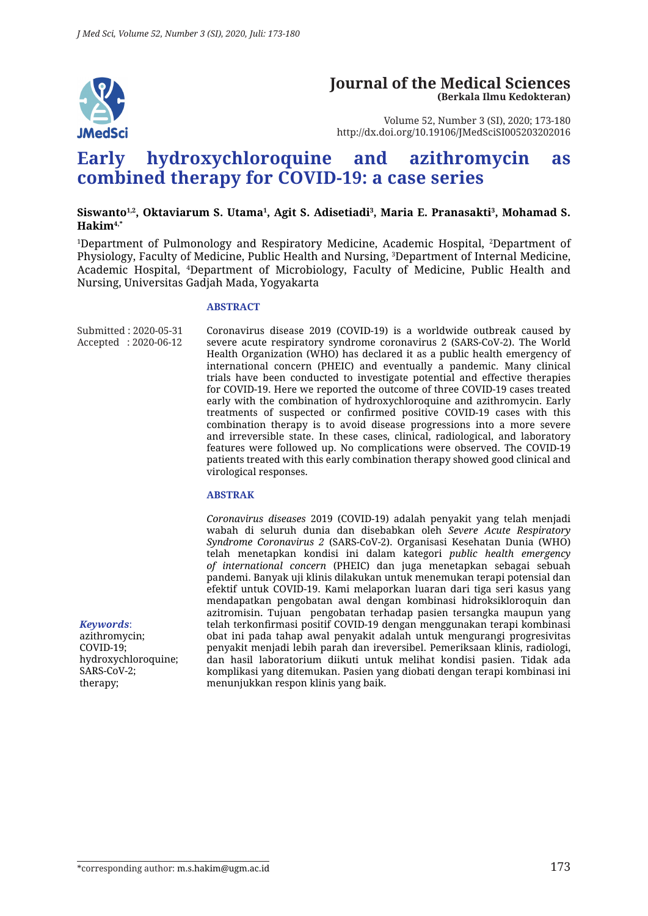

#### **Journal of the Medical Sciences (Berkala Ilmu Kedokteran)**

Volume 52, Number 3 (SI), 2020; 173-180 http://dx.doi.org/10.19106/JMedSciSI005203202016

# **Early hydroxychloroquine and azithromycin as combined therapy for COVID-19: a case series**

#### Siswanto<sup>1,2</sup>, Oktaviarum S. Utama<sup>1</sup>, Agit S. Adisetiadi<sup>3</sup>, Maria E. Pranasakti<sup>3</sup>, Mohamad S. **Hakim4,\***

1 Department of Pulmonology and Respiratory Medicine, Academic Hospital, 2 Department of Physiology, Faculty of Medicine, Public Health and Nursing, 3 Department of Internal Medicine, Academic Hospital, 4 Department of Microbiology, Faculty of Medicine, Public Health and Nursing, Universitas Gadjah Mada, Yogyakarta

#### **ABSTRACT**

Submitted : 2020-05-31 Accepted : 2020-06-12 Coronavirus disease 2019 (COVID-19) is a worldwide outbreak caused by severe acute respiratory syndrome coronavirus 2 (SARS-CoV-2). The World Health Organization (WHO) has declared it as a public health emergency of international concern (PHEIC) and eventually a pandemic. Many clinical trials have been conducted to investigate potential and effective therapies for COVID-19. Here we reported the outcome of three COVID-19 cases treated early with the combination of hydroxychloroquine and azithromycin. Early treatments of suspected or confirmed positive COVID-19 cases with this combination therapy is to avoid disease progressions into a more severe and irreversible state. In these cases, clinical, radiological, and laboratory features were followed up. No complications were observed. The COVID-19 patients treated with this early combination therapy showed good clinical and virological responses.

#### **ABSTRAK**

*Coronavirus diseases* 2019 (COVID-19) adalah penyakit yang telah menjadi wabah di seluruh dunia dan disebabkan oleh *Severe Acute Respiratory Syndrome Coronavirus 2* (SARS-CoV-2). Organisasi Kesehatan Dunia (WHO) telah menetapkan kondisi ini dalam kategori *public health emergency of international concern* (PHEIC) dan juga menetapkan sebagai sebuah pandemi. Banyak uji klinis dilakukan untuk menemukan terapi potensial dan efektif untuk COVID-19. Kami melaporkan luaran dari tiga seri kasus yang mendapatkan pengobatan awal dengan kombinasi hidroksikloroquin dan azitromisin. Tujuan pengobatan terhadap pasien tersangka maupun yang telah terkonfirmasi positif COVID-19 dengan menggunakan terapi kombinasi obat ini pada tahap awal penyakit adalah untuk mengurangi progresivitas penyakit menjadi lebih parah dan ireversibel. Pemeriksaan klinis, radiologi, dan hasil laboratorium diikuti untuk melihat kondisi pasien. Tidak ada komplikasi yang ditemukan. Pasien yang diobati dengan terapi kombinasi ini menunjukkan respon klinis yang baik.

*Keywords*: azithromycin; COVID-19; hydroxychloroquine; SARS-CoV-2; therapy;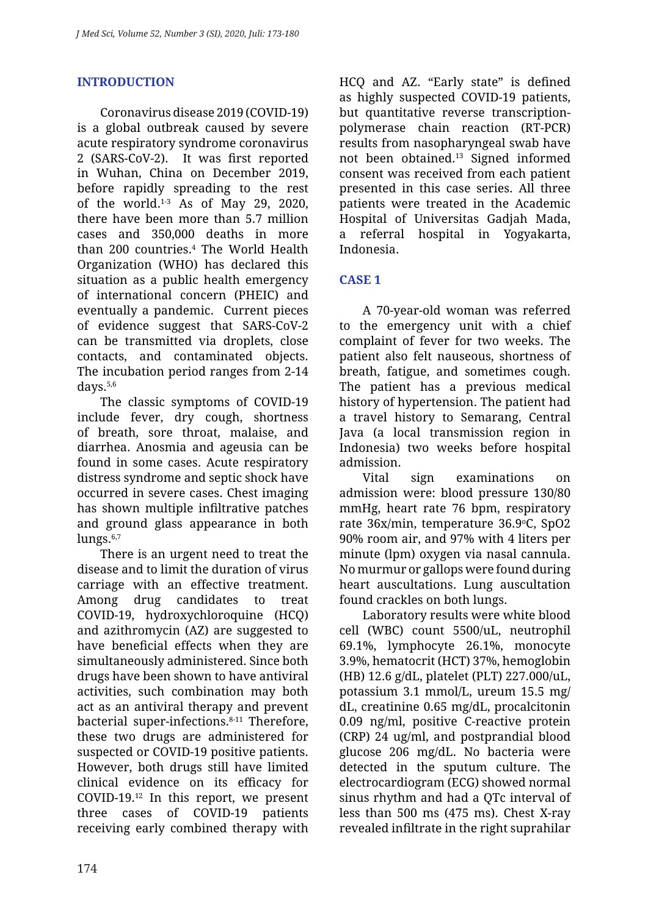# **INTRODUCTION**

Coronavirus disease 2019 (COVID-19) is a global outbreak caused by severe acute respiratory syndrome coronavirus 2 (SARS-CoV-2). It was first reported in Wuhan, China on December 2019, before rapidly spreading to the rest of the world. $1-3$  As of May 29, 2020, there have been more than 5.7 million cases and 350,000 deaths in more than 200 countries.4 The World Health Organization (WHO) has declared this situation as a public health emergency of international concern (PHEIC) and eventually a pandemic. Current pieces of evidence suggest that SARS-CoV-2 can be transmitted via droplets, close contacts, and contaminated objects. The incubation period ranges from 2-14 days.5,6

The classic symptoms of COVID-19 include fever, dry cough, shortness of breath, sore throat, malaise, and diarrhea. Anosmia and ageusia can be found in some cases. Acute respiratory distress syndrome and septic shock have occurred in severe cases. Chest imaging has shown multiple infiltrative patches and ground glass appearance in both lungs.<sup>6,7</sup>

There is an urgent need to treat the disease and to limit the duration of virus carriage with an effective treatment. Among drug candidates to treat COVID-19, hydroxychloroquine (HCQ) and azithromycin (AZ) are suggested to have beneficial effects when they are simultaneously administered. Since both drugs have been shown to have antiviral activities, such combination may both act as an antiviral therapy and prevent bacterial super-infections. 8-11 Therefore, these two drugs are administered for suspected or COVID-19 positive patients. However, both drugs still have limited clinical evidence on its efficacy for COVID-19.12 In this report, we present three cases of COVID-19 patients receiving early combined therapy with

HCQ and AZ. "Early state" is defined as highly suspected COVID-19 patients, but quantitative reverse transcriptionpolymerase chain reaction (RT-PCR) results from nasopharyngeal swab have not been obtained.13 Signed informed consent was received from each patient presented in this case series. All three patients were treated in the Academic Hospital of Universitas Gadjah Mada, a referral hospital in Yogyakarta, Indonesia.

# **CASE 1**

A 70-year-old woman was referred to the emergency unit with a chief complaint of fever for two weeks. The patient also felt nauseous, shortness of breath, fatigue, and sometimes cough. The patient has a previous medical history of hypertension. The patient had a travel history to Semarang, Central Java (a local transmission region in Indonesia) two weeks before hospital admission.

Vital sign examinations on admission were: blood pressure 130/80 mmHg, heart rate 76 bpm, respiratory rate 36x/min, temperature 36.9°C, SpO2 90% room air, and 97% with 4 liters per minute (lpm) oxygen via nasal cannula. No murmur or gallops were found during heart auscultations. Lung auscultation found crackles on both lungs.

Laboratory results were white blood cell (WBC) count 5500/uL, neutrophil 69.1%, lymphocyte 26.1%, monocyte 3.9%, hematocrit (HCT) 37%, hemoglobin (HB) 12.6 g/dL, platelet (PLT) 227.000/uL, potassium 3.1 mmol/L, ureum 15.5 mg/ dL, creatinine 0.65 mg/dL, procalcitonin 0.09 ng/ml, positive C-reactive protein (CRP) 24 ug/ml, and postprandial blood glucose 206 mg/dL. No bacteria were detected in the sputum culture. The electrocardiogram (ECG) showed normal sinus rhythm and had a QTc interval of less than 500 ms (475 ms). Chest X-ray revealed infiltrate in the right suprahilar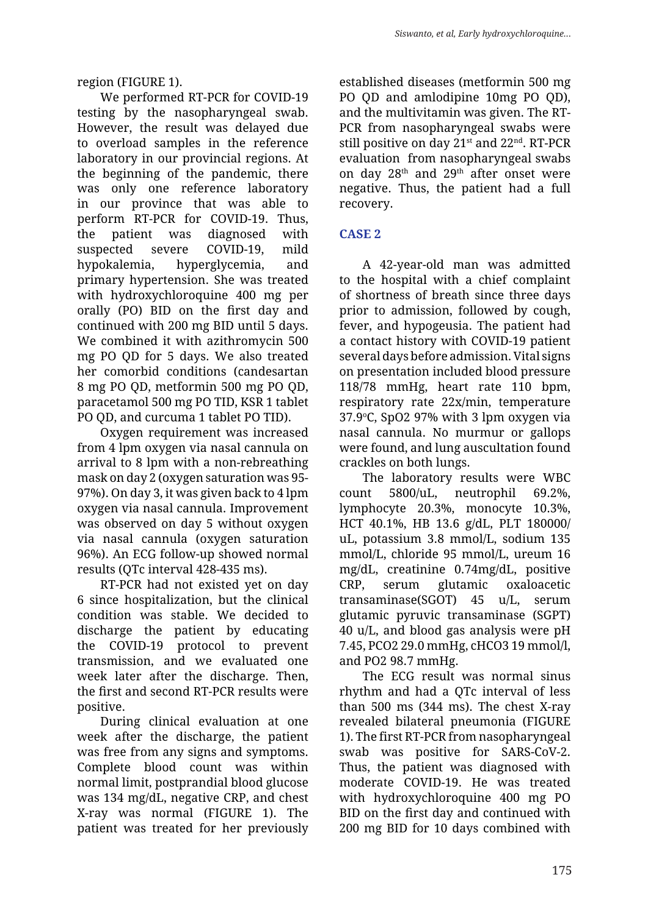region (FIGURE 1).

We performed RT-PCR for COVID-19 testing by the nasopharyngeal swab. However, the result was delayed due to overload samples in the reference laboratory in our provincial regions. At the beginning of the pandemic, there was only one reference laboratory in our province that was able to perform RT-PCR for COVID-19. Thus, the patient was diagnosed with suspected severe COVID-19, mild hypokalemia, hyperglycemia, and primary hypertension. She was treated with hydroxychloroquine 400 mg per orally (PO) BID on the first day and continued with 200 mg BID until 5 days. We combined it with azithromycin 500 mg PO QD for 5 days. We also treated her comorbid conditions (candesartan 8 mg PO QD, metformin 500 mg PO QD, paracetamol 500 mg PO TID, KSR 1 tablet PO QD, and curcuma 1 tablet PO TID).

Oxygen requirement was increased from 4 lpm oxygen via nasal cannula on arrival to 8 lpm with a non-rebreathing mask on day 2 (oxygen saturation was 95- 97%). On day 3, it was given back to 4 lpm oxygen via nasal cannula. Improvement was observed on day 5 without oxygen via nasal cannula (oxygen saturation 96%). An ECG follow-up showed normal results (QTc interval 428-435 ms).

RT-PCR had not existed yet on day 6 since hospitalization, but the clinical condition was stable. We decided to discharge the patient by educating the COVID-19 protocol to prevent transmission, and we evaluated one week later after the discharge. Then, the first and second RT-PCR results were positive.

During clinical evaluation at one week after the discharge, the patient was free from any signs and symptoms. Complete blood count was within normal limit, postprandial blood glucose was 134 mg/dL, negative CRP, and chest X-ray was normal (FIGURE 1). The patient was treated for her previously established diseases (metformin 500 mg PO QD and amlodipine 10mg PO QD), and the multivitamin was given. The RT-PCR from nasopharyngeal swabs were still positive on day  $21<sup>st</sup>$  and  $22<sup>nd</sup>$ . RT-PCR evaluation from nasopharyngeal swabs on day  $28<sup>th</sup>$  and  $29<sup>th</sup>$  after onset were negative. Thus, the patient had a full recovery.

# **CASE 2**

A 42-year-old man was admitted to the hospital with a chief complaint of shortness of breath since three days prior to admission, followed by cough, fever, and hypogeusia. The patient had a contact history with COVID-19 patient several days before admission. Vital signs on presentation included blood pressure 118/78 mmHg, heart rate 110 bpm, respiratory rate 22x/min, temperature  $37.9$ °C, SpO2 97% with 3 lpm oxygen via nasal cannula. No murmur or gallops were found, and lung auscultation found crackles on both lungs.

The laboratory results were WBC count 5800/uL, neutrophil 69.2%, lymphocyte 20.3%, monocyte 10.3%, HCT 40.1%, HB 13.6 g/dL, PLT 180000/ uL, potassium 3.8 mmol/L, sodium 135 mmol/L, chloride 95 mmol/L, ureum 16 mg/dL, creatinine 0.74mg/dL, positive CRP, serum glutamic oxaloacetic transaminase(SGOT) 45 u/L, serum glutamic pyruvic transaminase (SGPT) 40 u/L, and blood gas analysis were pH 7.45, PCO2 29.0 mmHg, cHCO3 19 mmol/l, and PO2 98.7 mmHg.

The ECG result was normal sinus rhythm and had a QTc interval of less than 500 ms (344 ms). The chest X-ray revealed bilateral pneumonia (FIGURE 1). The first RT-PCR from nasopharyngeal swab was positive for SARS-CoV-2. Thus, the patient was diagnosed with moderate COVID-19. He was treated with hydroxychloroquine 400 mg PO BID on the first day and continued with 200 mg BID for 10 days combined with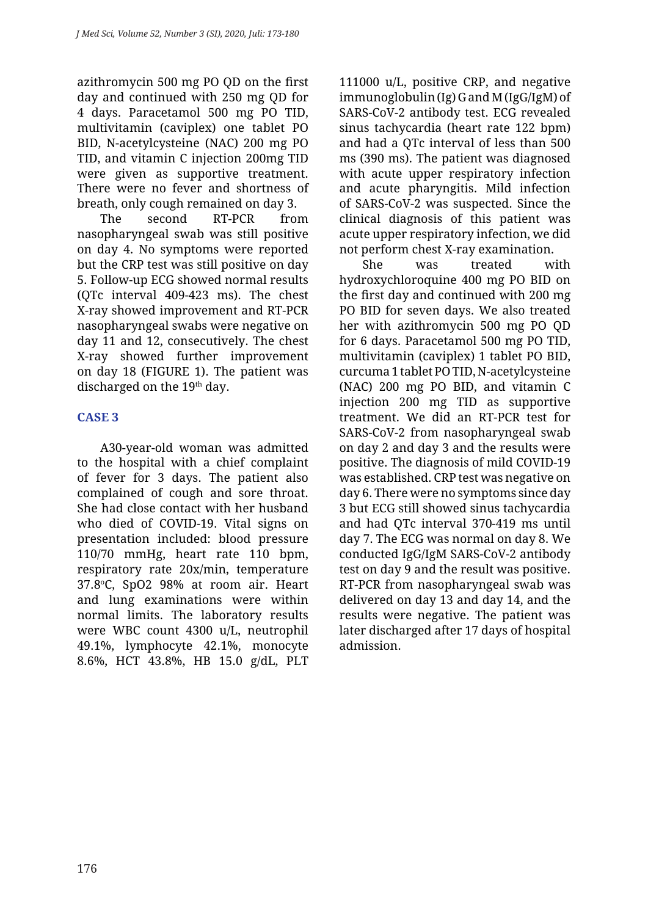azithromycin 500 mg PO QD on the first day and continued with 250 mg QD for 4 days. Paracetamol 500 mg PO TID, multivitamin (caviplex) one tablet PO BID, N-acetylcysteine (NAC) 200 mg PO TID, and vitamin C injection 200mg TID were given as supportive treatment. There were no fever and shortness of breath, only cough remained on day 3.

The second RT-PCR from nasopharyngeal swab was still positive on day 4. No symptoms were reported but the CRP test was still positive on day 5. Follow-up ECG showed normal results (QTc interval 409-423 ms). The chest X-ray showed improvement and RT-PCR nasopharyngeal swabs were negative on day 11 and 12, consecutively. The chest X-ray showed further improvement on day 18 (FIGURE 1). The patient was discharged on the 19<sup>th</sup> day.

# **CASE 3**

A30-year-old woman was admitted to the hospital with a chief complaint of fever for 3 days. The patient also complained of cough and sore throat. She had close contact with her husband who died of COVID-19. Vital signs on presentation included: blood pressure 110/70 mmHg, heart rate 110 bpm, respiratory rate 20x/min, temperature 37.8°C, SpO2 98% at room air. Heart and lung examinations were within normal limits. The laboratory results were WBC count 4300 u/L, neutrophil 49.1%, lymphocyte 42.1%, monocyte 8.6%, HCT 43.8%, HB 15.0 g/dL, PLT 111000 u/L, positive CRP, and negative immunoglobulin (Ig) G and M (IgG/IgM) of SARS-CoV-2 antibody test. ECG revealed sinus tachycardia (heart rate 122 bpm) and had a QTc interval of less than 500 ms (390 ms). The patient was diagnosed with acute upper respiratory infection and acute pharyngitis. Mild infection of SARS-CoV-2 was suspected. Since the clinical diagnosis of this patient was acute upper respiratory infection, we did not perform chest X-ray examination.

She was treated with hydroxychloroquine 400 mg PO BID on the first day and continued with 200 mg PO BID for seven days. We also treated her with azithromycin 500 mg PO QD for 6 days. Paracetamol 500 mg PO TID, multivitamin (caviplex) 1 tablet PO BID, curcuma 1 tablet PO TID, N-acetylcysteine (NAC) 200 mg PO BID, and vitamin C injection 200 mg TID as supportive treatment. We did an RT-PCR test for SARS-CoV-2 from nasopharyngeal swab on day 2 and day 3 and the results were positive. The diagnosis of mild COVID-19 was established. CRP test was negative on day 6. There were no symptoms since day 3 but ECG still showed sinus tachycardia and had QTc interval 370-419 ms until day 7. The ECG was normal on day 8. We conducted IgG/IgM SARS-CoV-2 antibody test on day 9 and the result was positive. RT-PCR from nasopharyngeal swab was delivered on day 13 and day 14, and the results were negative. The patient was later discharged after 17 days of hospital admission.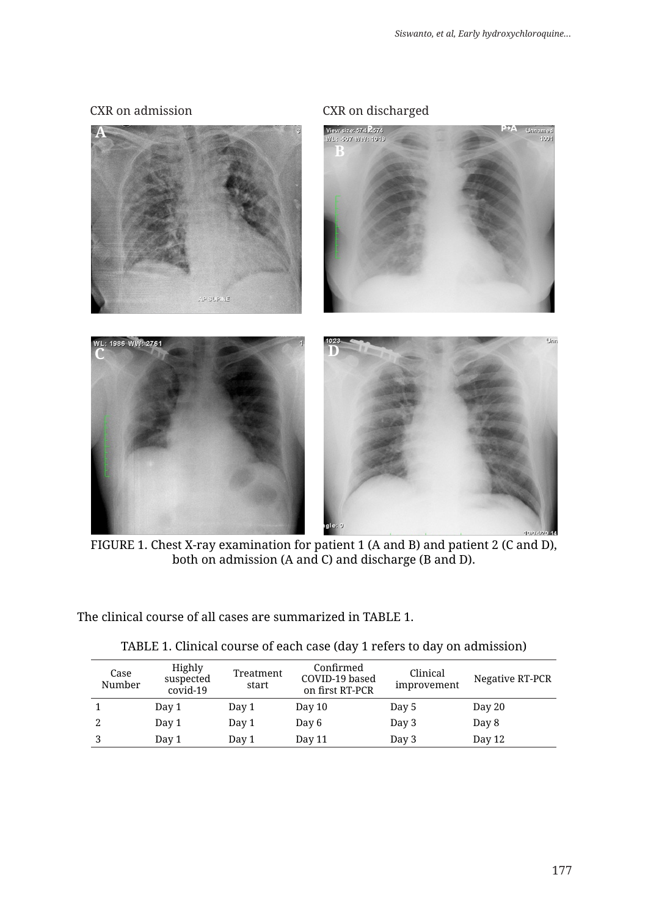#### CXR on admission CXR on discharged



FIGURE 1. Chest X-ray examination for patient 1 (A and B) and patient 2 (C and D), both on admission (A and C) and discharge (B and D).

The clinical course of all cases are summarized in TABLE 1.

| Case<br>Number | Highly<br>suspected<br>covid-19 | Treatment<br>start | Confirmed<br>COVID-19 based<br>on first RT-PCR | Clinical<br>improvement | Negative RT-PCR |
|----------------|---------------------------------|--------------------|------------------------------------------------|-------------------------|-----------------|
|                | Day 1                           | Day 1              | Day 10                                         | Day 5                   | Day 20          |
|                | Day 1                           | Day 1              | Day 6                                          | Day 3                   | Day 8           |
| 3              | Day 1                           | Day 1              | Day 11                                         | Day 3                   | Day 12          |

| TABLE 1. Clinical course of each case (day 1 refers to day on admission) |  |  |  |  |  |  |  |  |  |  |  |
|--------------------------------------------------------------------------|--|--|--|--|--|--|--|--|--|--|--|
|--------------------------------------------------------------------------|--|--|--|--|--|--|--|--|--|--|--|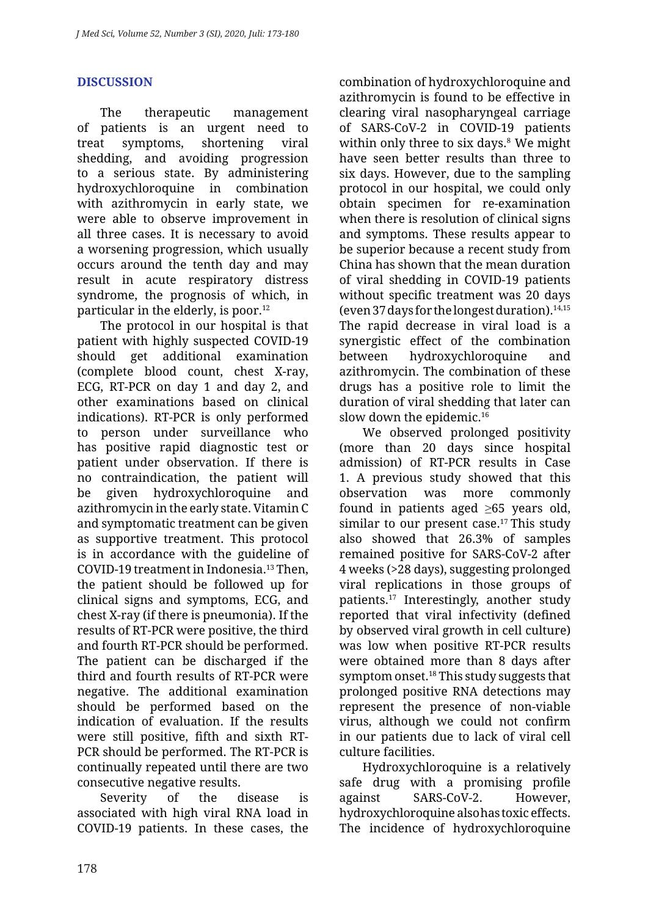# **DISCUSSION**

The therapeutic management of patients is an urgent need to treat symptoms, shortening viral shedding, and avoiding progression to a serious state. By administering hydroxychloroquine in combination with azithromycin in early state, we were able to observe improvement in all three cases. It is necessary to avoid a worsening progression, which usually occurs around the tenth day and may result in acute respiratory distress syndrome, the prognosis of which, in particular in the elderly, is poor.12

The protocol in our hospital is that patient with highly suspected COVID-19 should get additional examination (complete blood count, chest X-ray, ECG, RT-PCR on day 1 and day 2, and other examinations based on clinical indications). RT-PCR is only performed to person under surveillance who has positive rapid diagnostic test or patient under observation. If there is no contraindication, the patient will be given hydroxychloroquine and azithromycin in the early state. Vitamin C and symptomatic treatment can be given as supportive treatment. This protocol is in accordance with the guideline of COVID-19 treatment in Indonesia.13 Then, the patient should be followed up for clinical signs and symptoms, ECG, and chest X-ray (if there is pneumonia). If the results of RT-PCR were positive, the third and fourth RT-PCR should be performed. The patient can be discharged if the third and fourth results of RT-PCR were negative. The additional examination should be performed based on the indication of evaluation. If the results were still positive, fifth and sixth RT-PCR should be performed. The RT-PCR is continually repeated until there are two consecutive negative results.

Severity of the disease is associated with high viral RNA load in COVID-19 patients. In these cases, the combination of hydroxychloroquine and azithromycin is found to be effective in clearing viral nasopharyngeal carriage of SARS-CoV-2 in COVID-19 patients within only three to six days. 8 We might have seen better results than three to six days. However, due to the sampling protocol in our hospital, we could only obtain specimen for re-examination when there is resolution of clinical signs and symptoms. These results appear to be superior because a recent study from China has shown that the mean duration of viral shedding in COVID-19 patients without specific treatment was 20 days (even 37 days for the longest duration).  $14,15$ The rapid decrease in viral load is a synergistic effect of the combination between hydroxychloroquine and azithromycin. The combination of these drugs has a positive role to limit the duration of viral shedding that later can slow down the epidemic.<sup>16</sup>

We observed prolonged positivity (more than 20 days since hospital admission) of RT-PCR results in Case 1. A previous study showed that this observation was more commonly found in patients aged  $\geq 65$  years old, similar to our present case.<sup>17</sup> This study also showed that 26.3% of samples remained positive for SARS-CoV-2 after 4 weeks (>28 days), suggesting prolonged viral replications in those groups of patients.17 Interestingly, another study reported that viral infectivity (defined by observed viral growth in cell culture) was low when positive RT-PCR results were obtained more than 8 days after symptom onset.18 This study suggests that prolonged positive RNA detections may represent the presence of non-viable virus, although we could not confirm in our patients due to lack of viral cell culture facilities.

Hydroxychloroquine is a relatively safe drug with a promising profile against SARS-CoV-2. However, hydroxychloroquine also has toxic effects. The incidence of hydroxychloroquine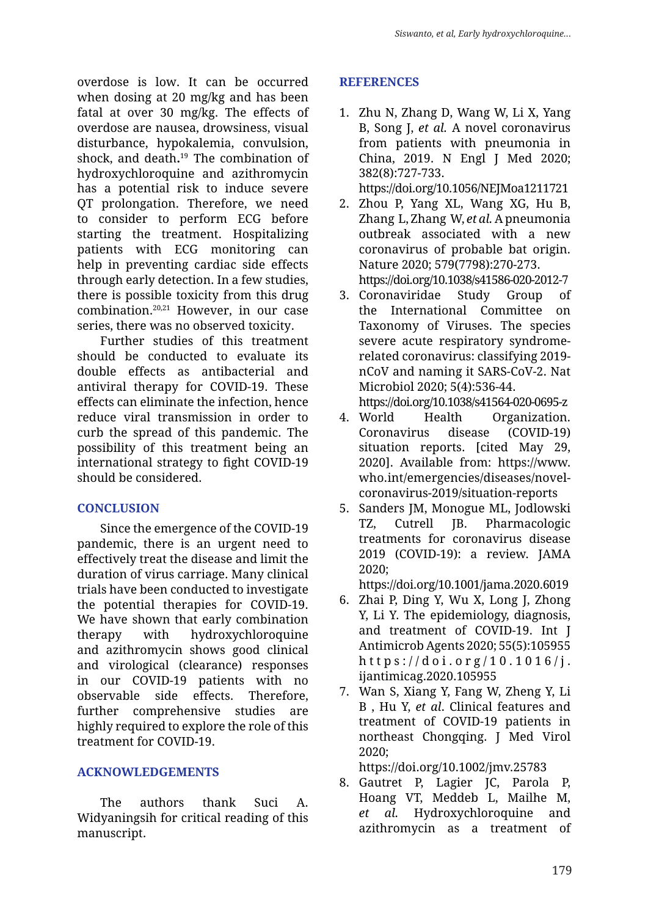overdose is low. It can be occurred when dosing at 20 mg/kg and has been fatal at over 30 mg/kg. The effects of overdose are nausea, drowsiness, visual disturbance, hypokalemia, convulsion, shock, and death**.** 19 The combination of hydroxychloroquine and azithromycin has a potential risk to induce severe QT prolongation. Therefore, we need to consider to perform ECG before starting the treatment. Hospitalizing patients with ECG monitoring can help in preventing cardiac side effects through early detection. In a few studies, there is possible toxicity from this drug combination. 20,21 However, in our case series, there was no observed toxicity.

Further studies of this treatment should be conducted to evaluate its double effects as antibacterial and antiviral therapy for COVID-19. These effects can eliminate the infection, hence reduce viral transmission in order to curb the spread of this pandemic. The possibility of this treatment being an international strategy to fight COVID-19 should be considered.

#### **CONCLUSION**

Since the emergence of the COVID-19 pandemic, there is an urgent need to effectively treat the disease and limit the duration of virus carriage. Many clinical trials have been conducted to investigate the potential therapies for COVID-19. We have shown that early combination therapy with hydroxychloroquine and azithromycin shows good clinical and virological (clearance) responses in our COVID-19 patients with no observable side effects. Therefore, further comprehensive studies are highly required to explore the role of this treatment for COVID-19.

# **ACKNOWLEDGEMENTS**

The authors thank Suci A. Widyaningsih for critical reading of this manuscript.

### **REFERENCES**

1. Zhu N, Zhang D, Wang W, Li X, Yang B, Song J, *et al.* A novel coronavirus from patients with pneumonia in China, 2019. N Engl J Med 2020; 382(8):727-733.

https://doi.org/10.1056/NEJMoa1211721

- 2. Zhou P, Yang XL, Wang XG, Hu B, Zhang L, Zhang W, *et al.* A pneumonia outbreak associated with a new coronavirus of probable bat origin. Nature 2020; 579(7798):270-273. https://doi.org/10.1038/s41586-020-2012-7
- 3. Coronaviridae Study Group of the International Committee on Taxonomy of Viruses. The species severe acute respiratory syndromerelated coronavirus: classifying 2019 nCoV and naming it SARS-CoV-2. Nat Microbiol 2020; 5(4):536-44.

https://doi.org/10.1038/s41564-020-0695-z

- 4. World Health Organization. Coronavirus disease (COVID-19) situation reports. [cited May 29, 2020]. Available from: https://www. who.int/emergencies/diseases/novelcoronavirus-2019/situation-reports
- 5. Sanders JM, Monogue ML, Jodlowski TZ, Cutrell JB. Pharmacologic treatments for coronavirus disease 2019 (COVID-19): a review. JAMA 2020;

https://doi.org/10.1001/jama.2020.6019

- 6. Zhai P, Ding Y, Wu X, Long J, Zhong Y, Li Y. The epidemiology, diagnosis, and treatment of COVID-19. Int J Antimicrob Agents 2020; 55(5):105955 https://doi.org/10.1016/j. ijantimicag.2020.105955
- 7. Wan S, Xiang Y, Fang W, Zheng Y, Li B , Hu Y, *et al*. Clinical features and treatment of COVID-19 patients in northeast Chongqing. J Med Virol 2020;

https://doi.org/10.1002/jmv.25783

8. Gautret P, Lagier JC, Parola P, Hoang VT, Meddeb L, Mailhe M, *et al.* Hydroxychloroquine and azithromycin as a treatment of